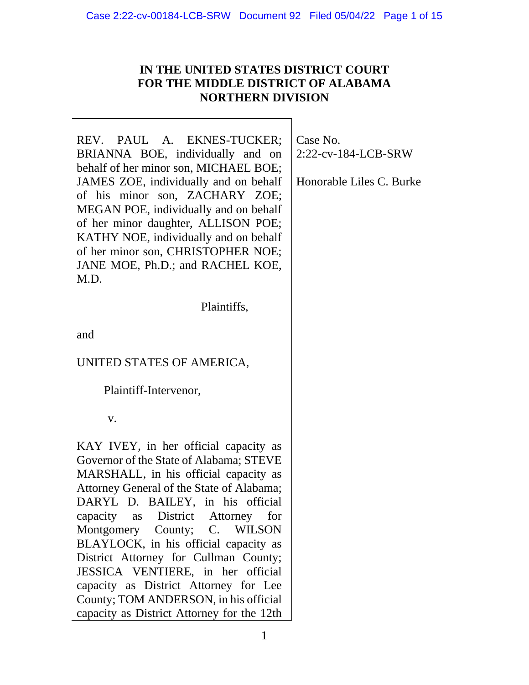# **IN THE UNITED STATES DISTRICT COURT FOR THE MIDDLE DISTRICT OF ALABAMA NORTHERN DIVISION**

REV. PAUL A. EKNES-TUCKER; BRIANNA BOE, individually and on behalf of her minor son, MICHAEL BOE; JAMES ZOE, individually and on behalf of his minor son, ZACHARY ZOE; MEGAN POE, individually and on behalf of her minor daughter, ALLISON POE; KATHY NOE, individually and on behalf of her minor son, CHRISTOPHER NOE; JANE MOE, Ph.D.; and RACHEL KOE, M.D.

Plaintiffs,

and

UNITED STATES OF AMERICA,

Plaintiff-Intervenor,

v.

KAY IVEY, in her official capacity as Governor of the State of Alabama; STEVE MARSHALL, in his official capacity as Attorney General of the State of Alabama; DARYL D. BAILEY, in his official capacity as District Attorney for Montgomery County; C. WILSON BLAYLOCK, in his official capacity as District Attorney for Cullman County; JESSICA VENTIERE, in her official capacity as District Attorney for Lee County; TOM ANDERSON, in his official capacity as District Attorney for the 12th

Case No. 2:22-cv-184-LCB-SRW

Honorable Liles C. Burke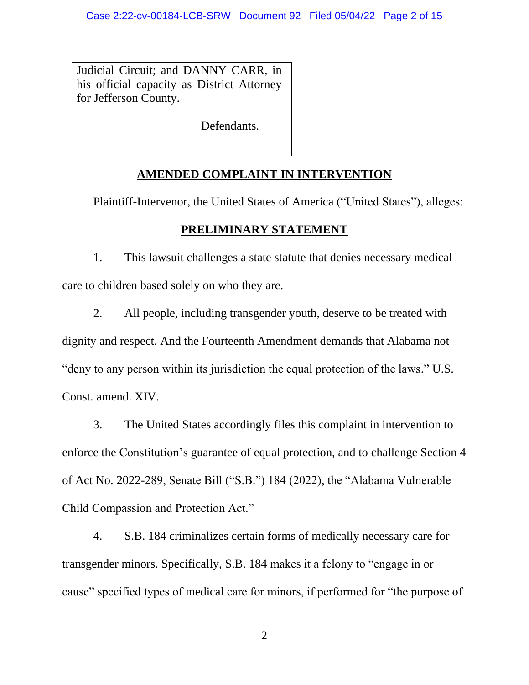Judicial Circuit; and DANNY CARR, in his official capacity as District Attorney for Jefferson County.

Defendants.

# **AMENDED COMPLAINT IN INTERVENTION**

Plaintiff-Intervenor, the United States of America ("United States"), alleges:

## **PRELIMINARY STATEMENT**

1. This lawsuit challenges a state statute that denies necessary medical care to children based solely on who they are.

2. All people, including transgender youth, deserve to be treated with dignity and respect. And the Fourteenth Amendment demands that Alabama not "deny to any person within its jurisdiction the equal protection of the laws." U.S. Const. amend. XIV.

3. The United States accordingly files this complaint in intervention to enforce the Constitution's guarantee of equal protection, and to challenge Section 4 of Act No. 2022-289, Senate Bill ("S.B.") 184 (2022), the "Alabama Vulnerable Child Compassion and Protection Act."

4. S.B. 184 criminalizes certain forms of medically necessary care for transgender minors. Specifically, S.B. 184 makes it a felony to "engage in or cause" specified types of medical care for minors, if performed for "the purpose of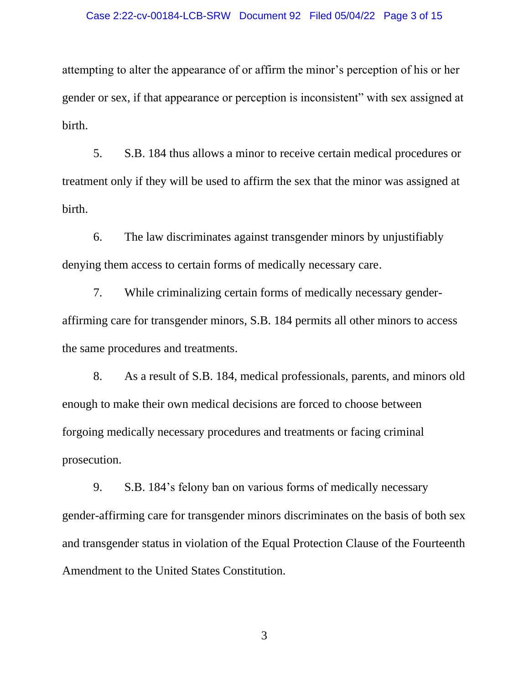#### Case 2:22-cv-00184-LCB-SRW Document 92 Filed 05/04/22 Page 3 of 15

attempting to alter the appearance of or affirm the minor's perception of his or her gender or sex, if that appearance or perception is inconsistent" with sex assigned at birth.

5. S.B. 184 thus allows a minor to receive certain medical procedures or treatment only if they will be used to affirm the sex that the minor was assigned at birth.

6. The law discriminates against transgender minors by unjustifiably denying them access to certain forms of medically necessary care.

7. While criminalizing certain forms of medically necessary genderaffirming care for transgender minors, S.B. 184 permits all other minors to access the same procedures and treatments.

8. As a result of S.B. 184, medical professionals, parents, and minors old enough to make their own medical decisions are forced to choose between forgoing medically necessary procedures and treatments or facing criminal prosecution.

9. S.B. 184's felony ban on various forms of medically necessary gender-affirming care for transgender minors discriminates on the basis of both sex and transgender status in violation of the Equal Protection Clause of the Fourteenth Amendment to the United States Constitution.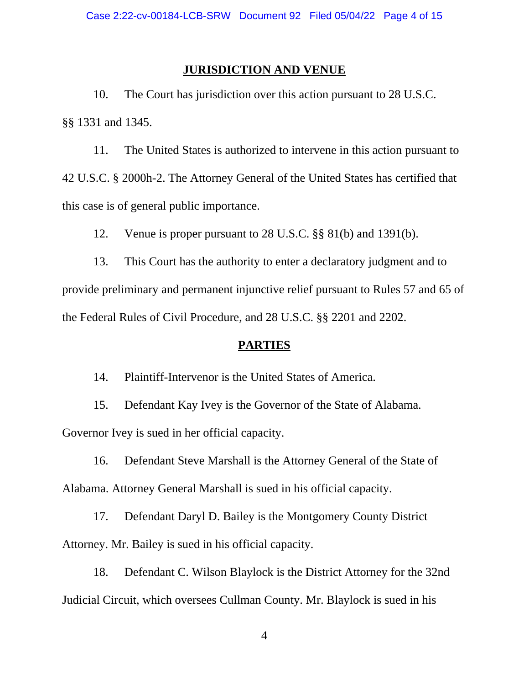## **JURISDICTION AND VENUE**

10. The Court has jurisdiction over this action pursuant to 28 U.S.C. §§ 1331 and 1345.

11. The United States is authorized to intervene in this action pursuant to 42 U.S.C. § 2000h-2. The Attorney General of the United States has certified that this case is of general public importance.

12. Venue is proper pursuant to 28 U.S.C. §§ 81(b) and 1391(b).

13. This Court has the authority to enter a declaratory judgment and to provide preliminary and permanent injunctive relief pursuant to Rules 57 and 65 of the Federal Rules of Civil Procedure, and 28 U.S.C. §§ 2201 and 2202.

### **PARTIES**

14. Plaintiff-Intervenor is the United States of America.

15. Defendant Kay Ivey is the Governor of the State of Alabama. Governor Ivey is sued in her official capacity.

16. Defendant Steve Marshall is the Attorney General of the State of Alabama. Attorney General Marshall is sued in his official capacity.

17. Defendant Daryl D. Bailey is the Montgomery County District Attorney. Mr. Bailey is sued in his official capacity.

18. Defendant C. Wilson Blaylock is the District Attorney for the 32nd Judicial Circuit, which oversees Cullman County. Mr. Blaylock is sued in his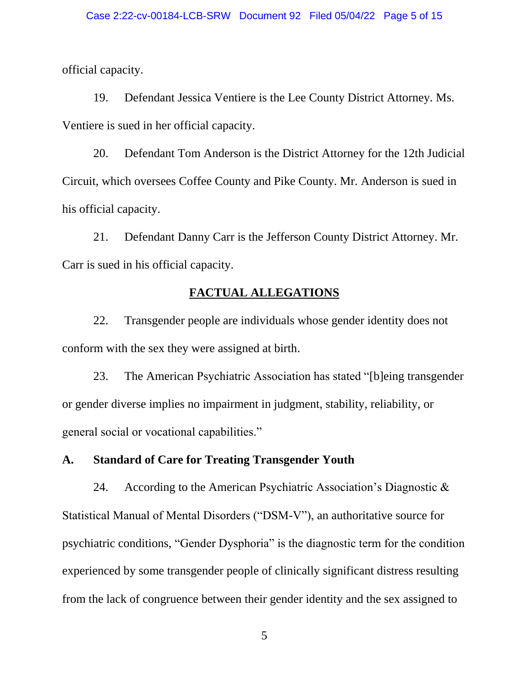official capacity.

19. Defendant Jessica Ventiere is the Lee County District Attorney. Ms. Ventiere is sued in her official capacity.

20. Defendant Tom Anderson is the District Attorney for the 12th Judicial Circuit, which oversees Coffee County and Pike County. Mr. Anderson is sued in his official capacity.

21. Defendant Danny Carr is the Jefferson County District Attorney. Mr. Carr is sued in his official capacity.

## **FACTUAL ALLEGATIONS**

22. Transgender people are individuals whose gender identity does not conform with the sex they were assigned at birth.

23. The American Psychiatric Association has stated "[b]eing transgender or gender diverse implies no impairment in judgment, stability, reliability, or general social or vocational capabilities."

**A. Standard of Care for Treating Transgender Youth**

24. According to the American Psychiatric Association's Diagnostic & Statistical Manual of Mental Disorders ("DSM-V"), an authoritative source for psychiatric conditions, "Gender Dysphoria" is the diagnostic term for the condition experienced by some transgender people of clinically significant distress resulting from the lack of congruence between their gender identity and the sex assigned to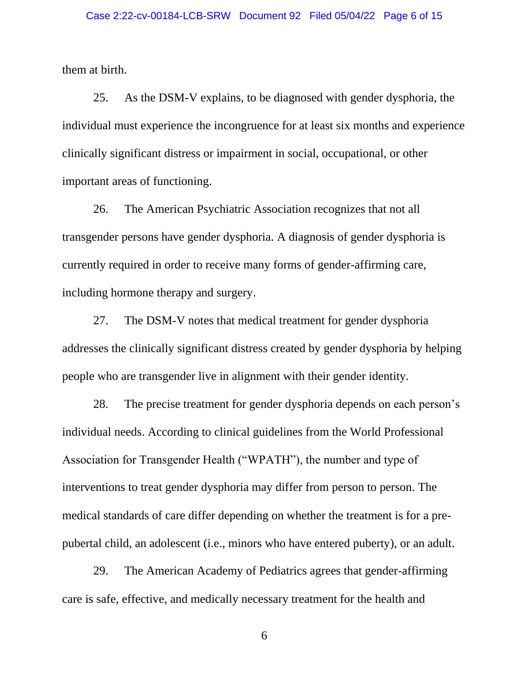them at birth.

25. As the DSM-V explains, to be diagnosed with gender dysphoria, the individual must experience the incongruence for at least six months and experience clinically significant distress or impairment in social, occupational, or other important areas of functioning.

26. The American Psychiatric Association recognizes that not all transgender persons have gender dysphoria. A diagnosis of gender dysphoria is currently required in order to receive many forms of gender-affirming care, including hormone therapy and surgery.

27. The DSM-V notes that medical treatment for gender dysphoria addresses the clinically significant distress created by gender dysphoria by helping people who are transgender live in alignment with their gender identity.

28. The precise treatment for gender dysphoria depends on each person's individual needs. According to clinical guidelines from the World Professional Association for Transgender Health ("WPATH"), the number and type of interventions to treat gender dysphoria may differ from person to person. The medical standards of care differ depending on whether the treatment is for a prepubertal child, an adolescent (i.e., minors who have entered puberty), or an adult.

29. The American Academy of Pediatrics agrees that gender-affirming care is safe, effective, and medically necessary treatment for the health and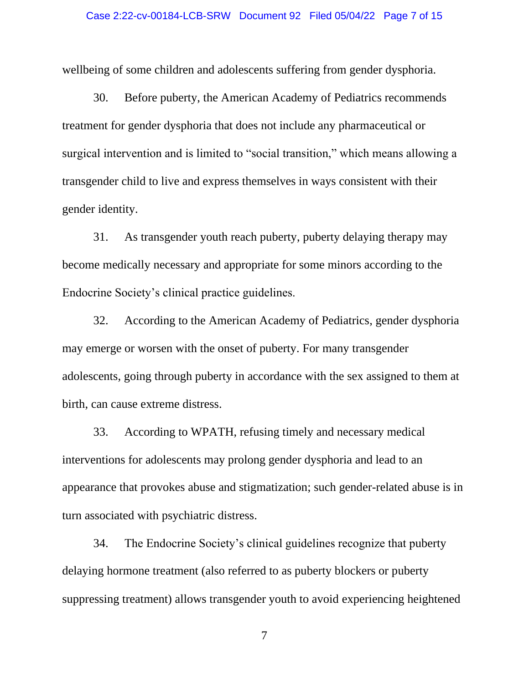#### Case 2:22-cv-00184-LCB-SRW Document 92 Filed 05/04/22 Page 7 of 15

wellbeing of some children and adolescents suffering from gender dysphoria.

30. Before puberty, the American Academy of Pediatrics recommends treatment for gender dysphoria that does not include any pharmaceutical or surgical intervention and is limited to "social transition," which means allowing a transgender child to live and express themselves in ways consistent with their gender identity.

31. As transgender youth reach puberty, puberty delaying therapy may become medically necessary and appropriate for some minors according to the Endocrine Society's clinical practice guidelines.

32. According to the American Academy of Pediatrics, gender dysphoria may emerge or worsen with the onset of puberty. For many transgender adolescents, going through puberty in accordance with the sex assigned to them at birth, can cause extreme distress.

33. According to WPATH, refusing timely and necessary medical interventions for adolescents may prolong gender dysphoria and lead to an appearance that provokes abuse and stigmatization; such gender-related abuse is in turn associated with psychiatric distress.

34. The Endocrine Society's clinical guidelines recognize that puberty delaying hormone treatment (also referred to as puberty blockers or puberty suppressing treatment) allows transgender youth to avoid experiencing heightened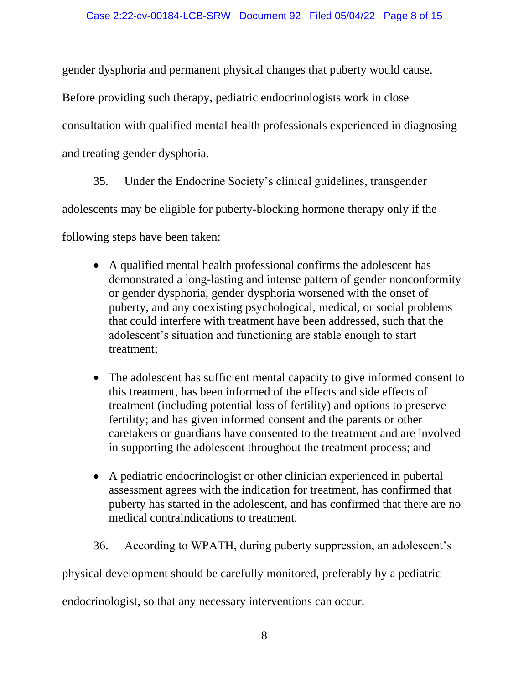gender dysphoria and permanent physical changes that puberty would cause.

Before providing such therapy, pediatric endocrinologists work in close

consultation with qualified mental health professionals experienced in diagnosing

and treating gender dysphoria.

35. Under the Endocrine Society's clinical guidelines, transgender

adolescents may be eligible for puberty-blocking hormone therapy only if the

following steps have been taken:

- A qualified mental health professional confirms the adolescent has demonstrated a long-lasting and intense pattern of gender nonconformity or gender dysphoria, gender dysphoria worsened with the onset of puberty, and any coexisting psychological, medical, or social problems that could interfere with treatment have been addressed, such that the adolescent's situation and functioning are stable enough to start treatment;
- The adolescent has sufficient mental capacity to give informed consent to this treatment, has been informed of the effects and side effects of treatment (including potential loss of fertility) and options to preserve fertility; and has given informed consent and the parents or other caretakers or guardians have consented to the treatment and are involved in supporting the adolescent throughout the treatment process; and
- A pediatric endocrinologist or other clinician experienced in pubertal assessment agrees with the indication for treatment, has confirmed that puberty has started in the adolescent, and has confirmed that there are no medical contraindications to treatment.
- 36. According to WPATH, during puberty suppression, an adolescent's

physical development should be carefully monitored, preferably by a pediatric

endocrinologist, so that any necessary interventions can occur.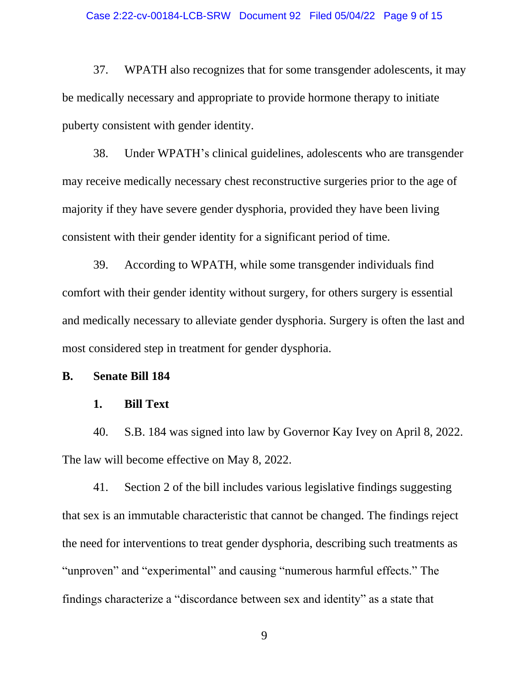#### Case 2:22-cv-00184-LCB-SRW Document 92 Filed 05/04/22 Page 9 of 15

37. WPATH also recognizes that for some transgender adolescents, it may be medically necessary and appropriate to provide hormone therapy to initiate puberty consistent with gender identity.

38. Under WPATH's clinical guidelines, adolescents who are transgender may receive medically necessary chest reconstructive surgeries prior to the age of majority if they have severe gender dysphoria, provided they have been living consistent with their gender identity for a significant period of time.

39. According to WPATH, while some transgender individuals find comfort with their gender identity without surgery, for others surgery is essential and medically necessary to alleviate gender dysphoria. Surgery is often the last and most considered step in treatment for gender dysphoria.

### **B. Senate Bill 184**

### **1. Bill Text**

40. S.B. 184 was signed into law by Governor Kay Ivey on April 8, 2022. The law will become effective on May 8, 2022.

41. Section 2 of the bill includes various legislative findings suggesting that sex is an immutable characteristic that cannot be changed. The findings reject the need for interventions to treat gender dysphoria, describing such treatments as "unproven" and "experimental" and causing "numerous harmful effects." The findings characterize a "discordance between sex and identity" as a state that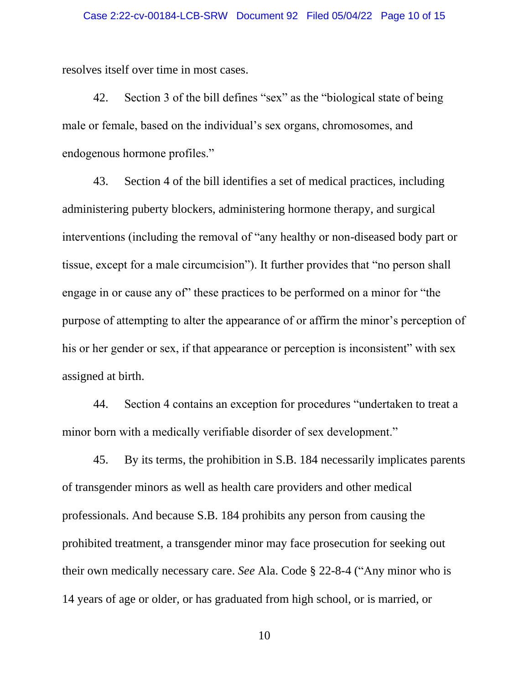resolves itself over time in most cases.

42. Section 3 of the bill defines "sex" as the "biological state of being male or female, based on the individual's sex organs, chromosomes, and endogenous hormone profiles."

43. Section 4 of the bill identifies a set of medical practices, including administering puberty blockers, administering hormone therapy, and surgical interventions (including the removal of "any healthy or non-diseased body part or tissue, except for a male circumcision"). It further provides that "no person shall engage in or cause any of" these practices to be performed on a minor for "the purpose of attempting to alter the appearance of or affirm the minor's perception of his or her gender or sex, if that appearance or perception is inconsistent" with sex assigned at birth.

44. Section 4 contains an exception for procedures "undertaken to treat a minor born with a medically verifiable disorder of sex development."

45. By its terms, the prohibition in S.B. 184 necessarily implicates parents of transgender minors as well as health care providers and other medical professionals. And because S.B. 184 prohibits any person from causing the prohibited treatment, a transgender minor may face prosecution for seeking out their own medically necessary care. *See* Ala. Code § 22-8-4 ("Any minor who is 14 years of age or older, or has graduated from high school, or is married, or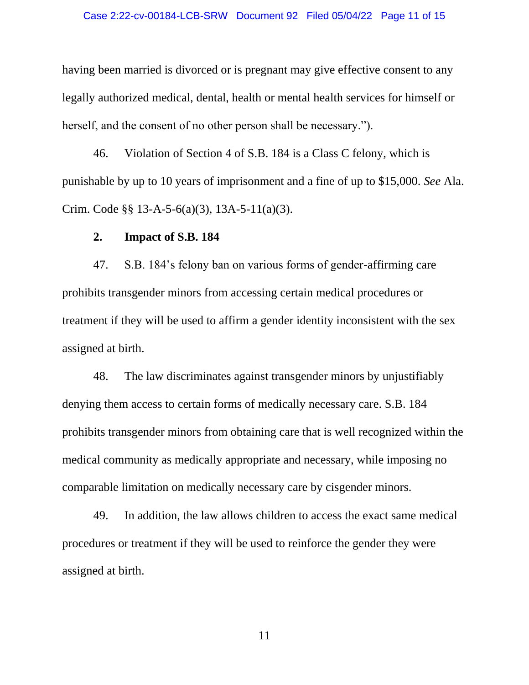having been married is divorced or is pregnant may give effective consent to any legally authorized medical, dental, health or mental health services for himself or herself, and the consent of no other person shall be necessary.").

46. Violation of Section 4 of S.B. 184 is a Class C felony, which is punishable by up to 10 years of imprisonment and a fine of up to \$15,000. *See* Ala. Crim. Code §§ 13-A-5-6(a)(3), 13A-5-11(a)(3).

#### **2. Impact of S.B. 184**

47. S.B. 184's felony ban on various forms of gender-affirming care prohibits transgender minors from accessing certain medical procedures or treatment if they will be used to affirm a gender identity inconsistent with the sex assigned at birth.

48. The law discriminates against transgender minors by unjustifiably denying them access to certain forms of medically necessary care. S.B. 184 prohibits transgender minors from obtaining care that is well recognized within the medical community as medically appropriate and necessary, while imposing no comparable limitation on medically necessary care by cisgender minors.

49. In addition, the law allows children to access the exact same medical procedures or treatment if they will be used to reinforce the gender they were assigned at birth.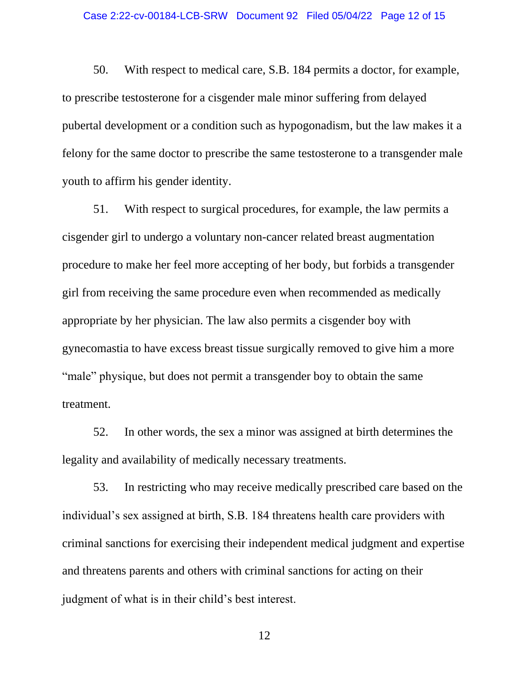50. With respect to medical care, S.B. 184 permits a doctor, for example, to prescribe testosterone for a cisgender male minor suffering from delayed pubertal development or a condition such as hypogonadism, but the law makes it a felony for the same doctor to prescribe the same testosterone to a transgender male youth to affirm his gender identity.

51. With respect to surgical procedures, for example, the law permits a cisgender girl to undergo a voluntary non-cancer related breast augmentation procedure to make her feel more accepting of her body, but forbids a transgender girl from receiving the same procedure even when recommended as medically appropriate by her physician. The law also permits a cisgender boy with gynecomastia to have excess breast tissue surgically removed to give him a more "male" physique, but does not permit a transgender boy to obtain the same treatment.

52. In other words, the sex a minor was assigned at birth determines the legality and availability of medically necessary treatments.

53. In restricting who may receive medically prescribed care based on the individual's sex assigned at birth, S.B. 184 threatens health care providers with criminal sanctions for exercising their independent medical judgment and expertise and threatens parents and others with criminal sanctions for acting on their judgment of what is in their child's best interest.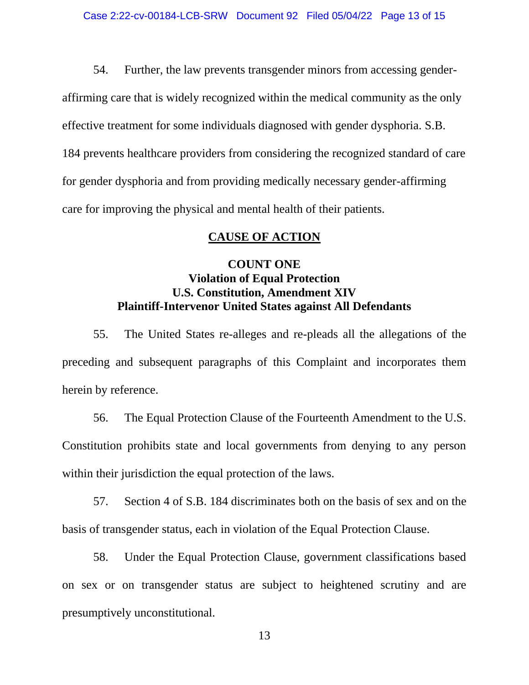54. Further, the law prevents transgender minors from accessing genderaffirming care that is widely recognized within the medical community as the only effective treatment for some individuals diagnosed with gender dysphoria. S.B. 184 prevents healthcare providers from considering the recognized standard of care for gender dysphoria and from providing medically necessary gender-affirming care for improving the physical and mental health of their patients.

### **CAUSE OF ACTION**

## **COUNT ONE Violation of Equal Protection U.S. Constitution, Amendment XIV Plaintiff-Intervenor United States against All Defendants**

55. The United States re-alleges and re-pleads all the allegations of the preceding and subsequent paragraphs of this Complaint and incorporates them herein by reference.

56. The Equal Protection Clause of the Fourteenth Amendment to the U.S. Constitution prohibits state and local governments from denying to any person within their jurisdiction the equal protection of the laws.

57. Section 4 of S.B. 184 discriminates both on the basis of sex and on the basis of transgender status, each in violation of the Equal Protection Clause.

58. Under the Equal Protection Clause, government classifications based on sex or on transgender status are subject to heightened scrutiny and are presumptively unconstitutional.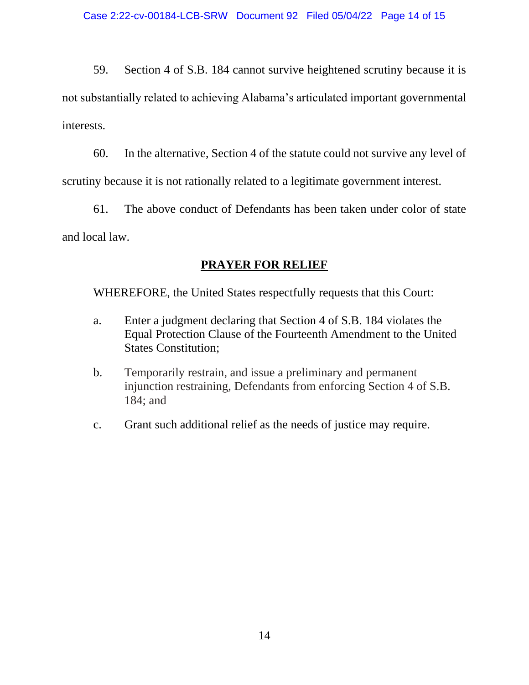59. Section 4 of S.B. 184 cannot survive heightened scrutiny because it is not substantially related to achieving Alabama's articulated important governmental interests.

60. In the alternative, Section 4 of the statute could not survive any level of scrutiny because it is not rationally related to a legitimate government interest.

61. The above conduct of Defendants has been taken under color of state and local law.

# **PRAYER FOR RELIEF**

WHEREFORE, the United States respectfully requests that this Court:

- a. Enter a judgment declaring that Section 4 of S.B. 184 violates the Equal Protection Clause of the Fourteenth Amendment to the United States Constitution;
- b. Temporarily restrain, and issue a preliminary and permanent injunction restraining, Defendants from enforcing Section 4 of S.B. 184; and
- c. Grant such additional relief as the needs of justice may require.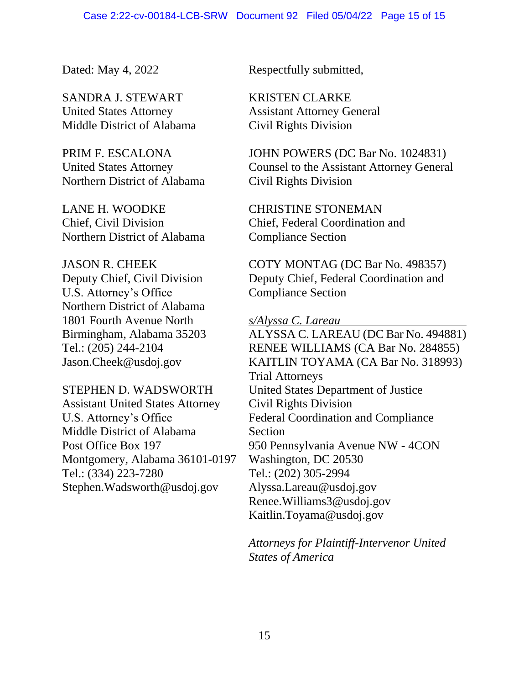SANDRA J. STEWART KRISTEN CLARKE United States Attorney Assistant Attorney General Middle District of Alabama Civil Rights Division

Northern District of Alabama Civil Rights Division

LANE H. WOODKE CHRISTINE STONEMAN Northern District of Alabama Compliance Section

U.S. Attorney's Office Compliance Section Northern District of Alabama 1801 Fourth Avenue North *s/Alyssa C. Lareau* 

Assistant United States Attorney Civil Rights Division Middle District of Alabama Section Montgomery, Alabama 36101-0197 Washington, DC 20530 Tel.: (334) 223-7280 Tel.: (202) 305-2994 Stephen.Wadsworth@usdoj.gov Alyssa.Lareau@usdoj.gov

Dated: May 4, 2022 Respectfully submitted,

PRIM F. ESCALONA JOHN POWERS (DC Bar No. 1024831) United States Attorney Counsel to the Assistant Attorney General

Chief, Civil Division Chief, Federal Coordination and

JASON R. CHEEK COTY MONTAG (DC Bar No. 498357) Deputy Chief, Civil Division Deputy Chief, Federal Coordination and

Birmingham, Alabama 35203 ALYSSA C. LAREAU (DC Bar No. 494881) Tel.: (205) 244-2104 RENEE WILLIAMS (CA Bar No. 284855) Jason.Cheek@usdoj.gov KAITLIN TOYAMA (CA Bar No. 318993) Trial Attorneys STEPHEN D. WADSWORTH United States Department of Justice U.S. Attorney's Office Federal Coordination and Compliance Post Office Box 197 950 Pennsylvania Avenue NW - 4CON Renee.Williams3@usdoj.gov Kaitlin.Toyama@usdoj.gov

> *Attorneys for Plaintiff-Intervenor United States of America*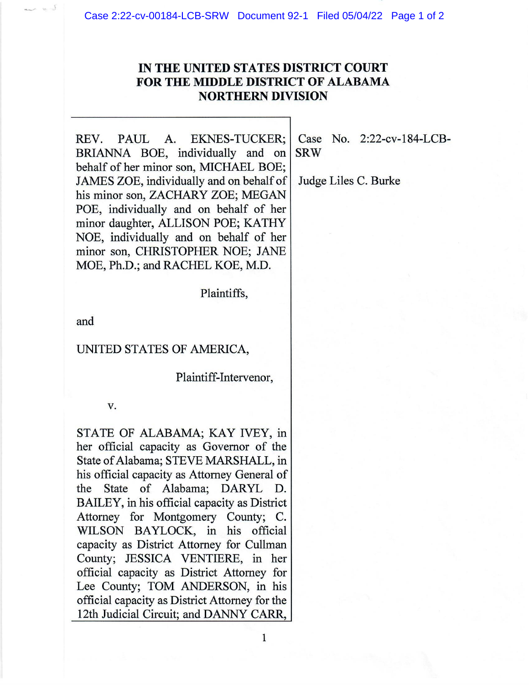Case 2:22-cv-00184-LCB-SRW Document 92-1 Filed 05/04/22 Page 1 of 2

# IN THE UNITED STATES DISTRICT COURT **FOR THE MIDDLE DISTRICT OF ALABAMA NORTHERN DIVISION**

**PAUL** REV. **EKNES-TUCKER:** A. BRIANNA BOE, individually and on behalf of her minor son, MICHAEL BOE; JAMES ZOE, individually and on behalf of his minor son, ZACHARY ZOE; MEGAN POE, individually and on behalf of her minor daughter, ALLISON POE; KATHY NOE, individually and on behalf of her minor son, CHRISTOPHER NOE; JANE MOE, Ph.D.; and RACHEL KOE, M.D.

Plaintiffs,

and

#### UNITED STATES OF AMERICA,

Plaintiff-Intervenor,

v.

STATE OF ALABAMA; KAY IVEY, in her official capacity as Governor of the State of Alabama; STEVE MARSHALL, in his official capacity as Attorney General of the State of Alabama; DARYL D. BAILEY, in his official capacity as District Attorney for Montgomery County; C. WILSON BAYLOCK, in his official capacity as District Attorney for Cullman County; JESSICA VENTIERE, in her official capacity as District Attorney for Lee County; TOM ANDERSON, in his official capacity as District Attorney for the 12th Judicial Circuit; and DANNY CARR,

Case No. 2:22-cv-184-LCB-**SRW** 

Judge Liles C. Burke